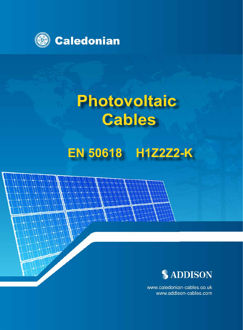

# **Photovoltaic Cables**

## **EN 50618 H1Z2Z2-K**



www.caledonian-cables.co.uk www.addison-cables.com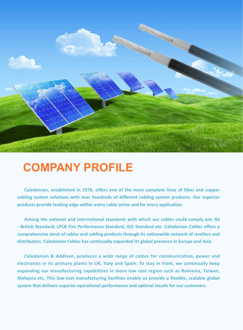

## **COMPANY PROFILE**

**Caledonian, established in 1978, offers one of the most complete lines of fiber and copper cabling system solutions with over hundreds of different cabling system products. Our superior products provide leading edge within every cable series and for every application.**

**Among the national and international standards with which our cables could comply are: BS - British Standard; LPCB Fire Performance Standard, ISO Standard etc. Caledonian Cables offers a comprehensive stock of cables and cabling products through its nationwide network of resellers and distributors. Caledonian Cables has continually expanded its global presence in Europe and Asia.** 

**Caledonian & Addison, produces a wide range of cables for communication, power and electronics in its primary plants in UK, Italy and Spain. To stay in front, we continually keep expanding our manufacturing capabilities in more low cost region such as Romania, Taiwan, Malaysia etc. This low-cost manufacturing facilities enable us provide a flexible, scalable global system that delivers superior operational performance and optimal results for our customers.**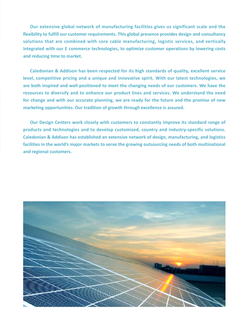**Our extensive global network of manufacturing facilities gives us significant scale and the flexibility to fulfill our customer requirements. This global presence provides design and consultancy solutions that are combined with core cable manufacturing, logistic services, and vertically integrated with our E commerce technologies, to optimize customer operations by lowering costs and reducing time to market.**

**Caledonian & Addison has been respected for its high standards of quality, excellent service level, competitive pricing and a unique and innovative spirit. With our latest technologies, we are both inspired and well-positioned to meet the changing needs of our customers. We have the resources to diversify and to enhance our product lines and services. We understand the need for change and with our accurate planning, we are ready for the future and the promise of new marketing opportunities. Our tradition of growth through excellence is assured.**

**Our Design Centers work closely with customers to constantly improve its standard range of products and technologies and to develop customized, country and industry-specific solutions. Caledonian & Addison has established an extensive network of design, manufacturing, and logistics facilities in the world's major markets to serve the growing outsourcing needs of both multinational and regional customers.**

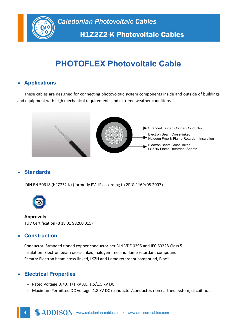

H1Z2Z2-K Photovoltaic Cables

## **PHOTOFLEX Photovoltaic Cable**

#### **» Applications**

These cables are designed for connecting photovoltaic system components inside and outside of buildings and equipment with high mechanical requirements and extreme weather conditions.



#### **» Standards**

DIN EN 50618 (H1Z2Z2-K) (formerly PV-1F according to 2PfG 1169/08.2007)



**Approvals:** TUV Certification (B 18 01 98200 015)

#### **» Construction**

Conductor: Stranded tinned copper conductor per DIN VDE 0295 and IEC 60228 Class 5. Insulation: Electron beam cross-linked, halogen free and flame retardant compound. Sheath: Electron beam cross-linked, LSZH and flame retardant compound, Black.

#### **» Electrical Properties**

- » Rated Voltage  $U_0/U$ :  $1/1$  kV AC;  $1.5/1.5$  kV DC
- » Maximum Permitted DC Voltage: 1.8 kV DC (conductor/conductor, non earthed system, circuit not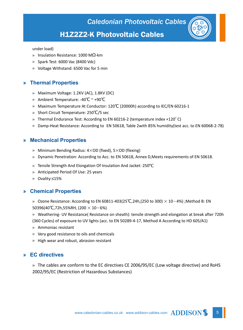### H1Z2Z2-K Photovoltaic Cables

under load)

- » Insulation Resistance: 1000 MΩ-km
- » Spark Test: 6000 Vac (8400 Vdc)
- » Voltage Withstand: 6500 Vac for 5 min

#### **» Thermal Properties**

- » Maximum Voltage: 1.2KV (AC), 1.8KV (DC)
- » Ambient Temperature: -40℃ ~ +90℃
- » Maximum Temperature At Conductor: 120℃ (20000h) according to IEC/EN 60216-1
- » Short Circuit Temperature: 250℃/5 sec
- » Thermal Endurance Test: According to EN 60216-2 (temperature index +120° C)
- » Damp-Heat Resistance: According to EN 50618, Table 2with 85% humidity(test acc. to EN 60068-2-78)

#### **» Mechanical Properties**

- » Minimum Bending Radius: 4×OD (fixed), 5×OD (flexing)
- » Dynamic Penetration: According to Acc. to EN 50618, Annex D,Meets requirements of EN 50618.
- » Tensile Strength And Elongation Of Insulation And Jacket: 250℃
- » Anticipated Period Of Use: 25 years
- » Ovality:≤15%

#### **» Chemical Properties**

- » Ozone Resistance: According to EN 60811-403(25℃,24h,(250 to 300)  $\times$  10-4%);Method B: EN 50396(40℃,72h,55%RH, (200 × 10−6%)
- » Weathering- UV Resistance( Resistance on sheath): tensile strength and elongation at break after 720h (360 Cycles) of exposure to UV lights (acc. to EN 50289-4-17, Method A According to HD 605/A1)
- » Ammoniac resistant
- » Very good resistance to oils and chemicals
- » High wear and robust, abrasion resistant

#### **» EC directives**

» The cables are conform to the EC directives CE 2006/95/EC (Low voltage directive) and RoHS 2002/95/EC (Restriction of Hazardous Substances)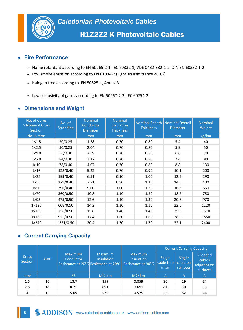

#### **» Fire Performance**

- » Flame retardant according to EN 50265-2-1, IEC 60332-1, VDE 0482-332-1-2, DIN EN 60332-1-2
- » Low smoke emission according to EN 61034-2 (Light Transmittance ≥60%)
- » Halogen free according to EN 50525-1, Annex B
- » Low corrosivity of gases according to EN 50267-2-2, IEC 60754-2

#### **» Dimensions and Weight**

| No. of Cores<br>$\times$ Nominal Cross<br>Section | No. of<br><b>Stranding</b> | <b>Nominal</b><br>Conductor<br><b>Diameter</b> | <b>Nominal</b><br>Insulation<br><b>Thickness</b> | <b>Thickness</b> | Nominal Sheath   Nominal Overall<br><b>Diamater</b> | Nominal<br>Weight |
|---------------------------------------------------|----------------------------|------------------------------------------------|--------------------------------------------------|------------------|-----------------------------------------------------|-------------------|
| No. $\times$ mm <sup>2</sup>                      |                            | mm                                             | mm                                               | mm               | mm                                                  | kg/km             |
| $1 \times 1.5$                                    | 30/0.25                    | 1.58                                           | 0.70                                             | 0.80             | 5.4                                                 | 40                |
| $1 \times 2.5$                                    | 50/0.25                    | 2.04                                           | 0.70                                             | 0.80             | 5.9                                                 | 50                |
| $1\times 4.0$                                     | 56/0.30                    | 2.59                                           | 0.70                                             | 0.80             | 6.6                                                 | 70                |
| $1\times 6.0$                                     | 84/0.30                    | 3.17                                           | 0.70                                             | 0.80             | 7.4                                                 | 80                |
| $1 \times 10$                                     | 78/0.40                    | 4.07                                           | 0.70                                             | 0.80             | 8.8                                                 | 130               |
| $1 \times 16$                                     | 128/0.40                   | 5.22                                           | 0.70                                             | 0.90             | 10.1                                                | 200               |
| $1 \times 25$                                     | 199/0.40                   | 6.51                                           | 0.90                                             | 1.00             | 12.5                                                | 290               |
| $1 \times 35$                                     | 279/0.40                   | 7.71                                           | 0.90                                             | 1.10             | 14.0                                                | 400               |
| $1\times 50$                                      | 396/0.40                   | 9.00                                           | 1.00                                             | 1.20             | 16.3                                                | 550               |
| $1\times 70$                                      | 360/0.50                   | 10.8                                           | 1.10                                             | 1.20             | 18.7                                                | 750               |
| $1 \times 95$                                     | 475/0.50                   | 12.6                                           | 1.10                                             | 1.30             | 20.8                                                | 970               |
| $1 \times 120$                                    | 608/0.50                   | 14.2                                           | 1.20                                             | 1.30             | 22.8                                                | 1220              |
| $1 \times 150$                                    | 756/0.50                   | 15.8                                           | 1.40                                             | 1.40             | 25.5                                                | 1510              |
| $1 \times 185$                                    | 925/0.50                   | 17.4                                           | 1.60                                             | 1.60             | 28.5                                                | 1850              |
| 1×240                                             | 1221/0.50                  | 20.4                                           | 1.70                                             | 1.70             | 32.1                                                | 2400              |

#### **» Current Carrying Capacity**

|                         |                          |      |                                                                                                                         |               | <b>Current Carrying Capacity</b> |                                |                                               |
|-------------------------|--------------------------|------|-------------------------------------------------------------------------------------------------------------------------|---------------|----------------------------------|--------------------------------|-----------------------------------------------|
| <b>Cross</b><br>Section | <b>AWG</b>               |      | <b>Maximum</b><br><b>Maximum</b><br>Conductor<br>insulation<br>Resistance at 20°C Resistance at 20°C Resistance at 90°C |               | Single<br>cable free<br>in air   | Single<br>cable on<br>surfaces | 2 loaded<br>cables<br>adjacent on<br>surfaces |
| mm <sup>2</sup>         | $\overline{\phantom{a}}$ | Ω    | $M\Omega$ .km                                                                                                           | $M\Omega$ .km | $\overline{A}$                   | $\overline{A}$                 | A                                             |
| 1.5                     | 16                       | 13.7 | 859                                                                                                                     | 0.859         | 30                               | 29                             | 24                                            |
| 2.5                     | 14                       | 8.21 | 691                                                                                                                     | 0.691         | 41                               | 39                             | 33                                            |
| 4                       | 12                       | 5.09 | 579                                                                                                                     | 0.579         | 55                               | 52                             | 44                                            |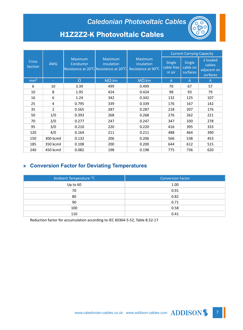## *Caledonian Photovoltaic Cables*



## H1Z2Z2-K Photovoltaic Cables

|                                | <b>AWG</b>     | Maximum<br><b>Conductor</b> | <b>Maximum</b><br>insulation<br>Resistance at 20°C Resistance at 20°C | <b>Maximum</b><br>insulation<br>Resistance at 90°C | <b>Current Carrying Capacity</b> |                                       |                                               |
|--------------------------------|----------------|-----------------------------|-----------------------------------------------------------------------|----------------------------------------------------|----------------------------------|---------------------------------------|-----------------------------------------------|
| <b>Cross</b><br><b>Section</b> |                |                             |                                                                       |                                                    | Single<br>cable free<br>in air   | <b>Single</b><br>cable on<br>surfaces | 2 loaded<br>cables<br>adjacent on<br>surfaces |
| mm <sup>2</sup>                | ÷.             | $\Omega$                    | $M\Omega$ .km                                                         | $M\Omega$ .km                                      | A                                | $\overline{A}$                        | A                                             |
| 6                              | 10             | 3.39                        | 499                                                                   | 0.499                                              | 70                               | 67                                    | 57                                            |
| 10                             | 8              | 1.95                        | 424                                                                   | 0.424                                              | 98                               | 93                                    | 79                                            |
| 16                             | 6              | 1.24                        | 342                                                                   | 0.342                                              | 132                              | 125                                   | 107                                           |
| 25                             | 4              | 0.795                       | 339                                                                   | 0.339                                              | 176                              | 167                                   | 142                                           |
| 35                             | $\overline{2}$ | 0.565                       | 287                                                                   | 0.287                                              | 218                              | 207                                   | 176                                           |
| 50                             | 1/0            | 0.393                       | 268                                                                   | 0.268                                              | 276                              | 262                                   | 221                                           |
| 70                             | 2/0            | 0.277                       | 247                                                                   | 0.247                                              | 347                              | 330                                   | 278                                           |
| 95                             | 3/0            | 0.210                       | 220                                                                   | 0.220                                              | 416                              | 395                                   | 333                                           |
| 120                            | 4/0            | 0.164                       | 211                                                                   | 0.211                                              | 488                              | 464                                   | 390                                           |
| 150                            | 300 kcmil      | 0.132                       | 206                                                                   | 0.206                                              | 566                              | 538                                   | 453                                           |
| 185                            | 350 kcmil      | 0.108                       | 200                                                                   | 0.200                                              | 644                              | 612                                   | 515                                           |
| 240                            | 450 kcmil      | 0.082                       | 198                                                                   | 0.198                                              | 775                              | 736                                   | 620                                           |

#### **» Conversion Factor for Deviating Temperatures**

| Ambient Temperature °C | <b>Conversion Factor</b> |  |  |
|------------------------|--------------------------|--|--|
| Up to 60               | 1.00                     |  |  |
| 70                     | 0.91                     |  |  |
| 80                     | 0.82                     |  |  |
| 90                     | 0.71                     |  |  |
| 100                    | 0.58                     |  |  |
| 110                    | 0.41                     |  |  |

Reduction factor for accumulation according to IEC 60364-5-52, Table B.52-17